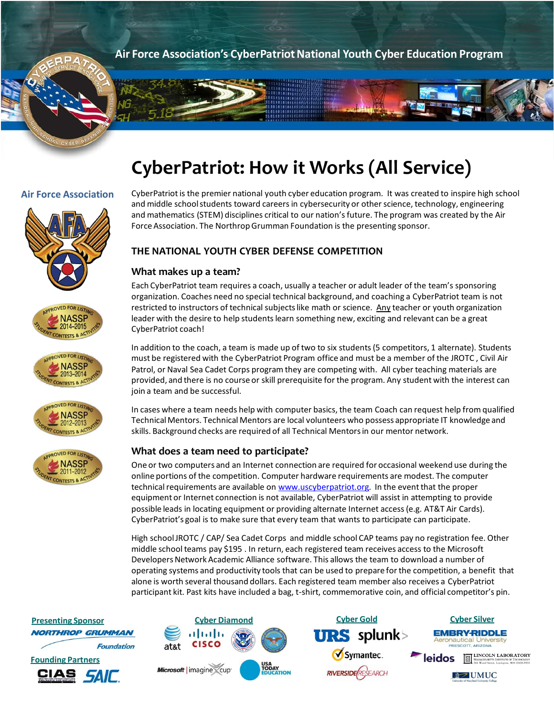**Air Force Association's CyberPatriotNational Youth Cyber Education Program**

# **CyberPatriot: How it Works (All Service)**

 $\n **D**$ 











### **Air Force Association** CyberPatriot is the premier national youth cyber education program. It was created to inspire high school and middle school students toward careers in cybersecurity or other science, technology, engineering and mathematics (STEM) disciplines critical to our nation's future. The program was created by the Air Force Association. The Northrop Grumman Foundation is the presenting sponsor.

# **THE NATIONAL YOUTH CYBER DEFENSE COMPETITION**

# **What makes up a team?**

Each CyberPatriot team requires a coach, usually a teacher or adult leader of the team's sponsoring organization. Coaches need no special technical background, and coaching a CyberPatriot team is not restricted to instructors of technical subjects like math or science. Any teacher or youth organization leader with the desire to help students learn something new, exciting and relevant can be a great CyberPatriot coach!

In addition to the coach, a team is made up of two to six students (5 competitors, 1 alternate). Students must be registered with the CyberPatriot Program office and must be a member of the JROTC , Civil Air Patrol, or Naval Sea Cadet Corps program they are competing with. All cyber teaching materials are provided, and there is no course or skill prerequisite for the program. Any student with the interest can join a team and be successful.

In cases where a team needs help with computer basics, the team Coach can request help from qualified Technical Mentors. Technical Mentors are local volunteers who possess appropriate IT knowledge and skills. Background checks are required of all Technical Mentors in our mentor network.

# **What does a team need to participate?**

One or two computers and an Internet connection are required for occasional weekend use during the online portions of the competition. Computer hardware requirements are modest. The computer technical requirements are available on [www.uscyberpatriot.org](http://www.uscyberpatriot.org/)*.* In the event that the proper equipment or Internet connection is not available, CyberPatriot will assist in attempting to provide possible leads in locating equipment or providing alternate Internet access (e.g. AT&T Air Cards). CyberPatriot's goal is to make sure that every team that wants to participate can participate.

High school JROTC / CAP/ Sea Cadet Corps and middle school CAP teams pay no registration fee. Other middle school teams pay \$195 . In return, each registered team receives access to the Microsoft Developers Network Academic Alliance software. This allows the team to download a number of operating systems and productivity tools that can be used to prepare for the competition, a benefit that alone is worth several thousand dollars. Each registered team member also receives a CyberPatriot participant kit. Past kits have included a bag, t-shirt, commemorative coin, and official competitor's pin.

**NORTHROP GRUMMAN Foundation Founding Partners** *SAIF*